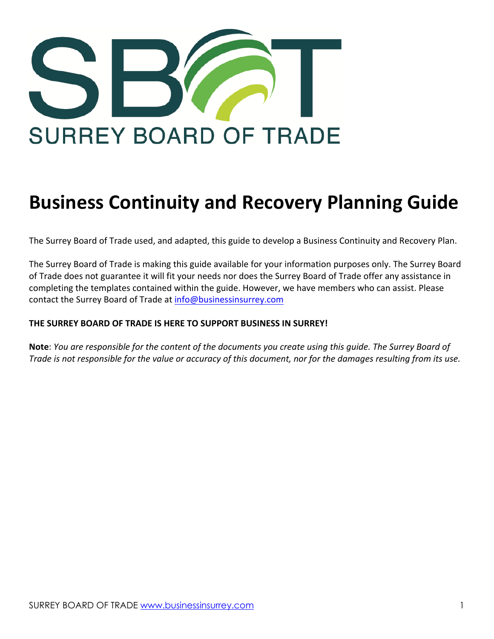

# **Business Continuity and Recovery Planning Guide**

The Surrey Board of Trade used, and adapted, this guide to develop a Business Continuity and Recovery Plan.

The Surrey Board of Trade is making this guide available for your information purposes only. The Surrey Board of Trade does not guarantee it will fit your needs nor does the Surrey Board of Trade offer any assistance in completing the templates contained within the guide. However, we have members who can assist. Please contact the Surrey Board of Trade at info@businessinsurrey.com

#### **THE SURREY BOARD OF TRADE IS HERE TO SUPPORT BUSINESS IN SURREY!**

**Note**: *You are responsible for the content of the documents you create using this guide. The Surrey Board of Trade is not responsible for the value or accuracy of this document, nor for the damages resulting from its use.*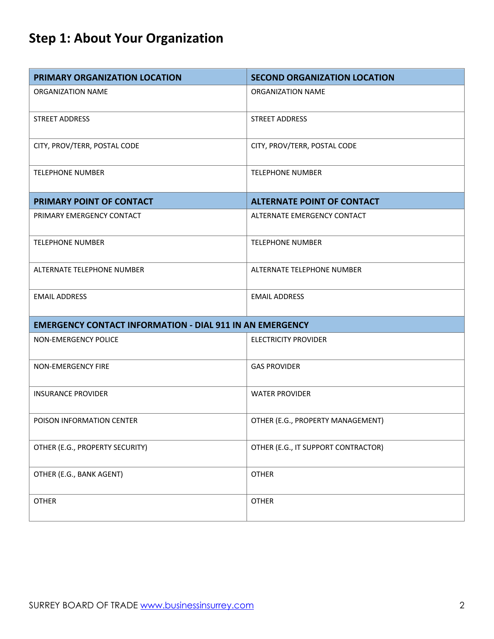# **Step 1: About Your Organization**

| PRIMARY ORGANIZATION LOCATION                                   | <b>SECOND ORGANIZATION LOCATION</b> |
|-----------------------------------------------------------------|-------------------------------------|
| ORGANIZATION NAME                                               | ORGANIZATION NAME                   |
| <b>STREET ADDRESS</b>                                           | <b>STREET ADDRESS</b>               |
| CITY, PROV/TERR, POSTAL CODE                                    | CITY, PROV/TERR, POSTAL CODE        |
| <b>TELEPHONE NUMBER</b>                                         | <b>TELEPHONE NUMBER</b>             |
| PRIMARY POINT OF CONTACT                                        | <b>ALTERNATE POINT OF CONTACT</b>   |
| PRIMARY EMERGENCY CONTACT                                       | ALTERNATE EMERGENCY CONTACT         |
| <b>TELEPHONE NUMBER</b>                                         | <b>TELEPHONE NUMBER</b>             |
| ALTERNATE TELEPHONE NUMBER                                      | ALTERNATE TELEPHONE NUMBER          |
| <b>EMAIL ADDRESS</b>                                            | <b>EMAIL ADDRESS</b>                |
| <b>EMERGENCY CONTACT INFORMATION - DIAL 911 IN AN EMERGENCY</b> |                                     |
| NON-EMERGENCY POLICE                                            | <b>ELECTRICITY PROVIDER</b>         |
| NON-EMERGENCY FIRE                                              | <b>GAS PROVIDER</b>                 |
| <b>INSURANCE PROVIDER</b>                                       | <b>WATER PROVIDER</b>               |
| POISON INFORMATION CENTER                                       | OTHER (E.G., PROPERTY MANAGEMENT)   |
| OTHER (E.G., PROPERTY SECURITY)                                 | OTHER (E.G., IT SUPPORT CONTRACTOR) |
| OTHER (E.G., BANK AGENT)                                        | <b>OTHER</b>                        |
| <b>OTHER</b>                                                    | <b>OTHER</b>                        |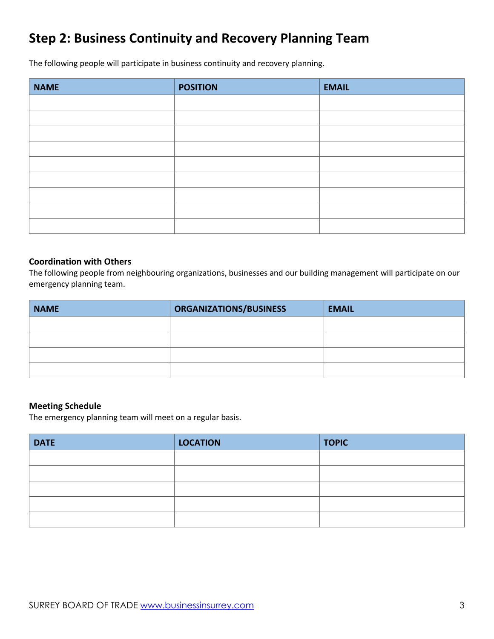#### **Step 2: Business Continuity and Recovery Planning Team**

The following people will participate in business continuity and recovery planning.

| <b>NAME</b> | <b>POSITION</b> | <b>EMAIL</b> |
|-------------|-----------------|--------------|
|             |                 |              |
|             |                 |              |
|             |                 |              |
|             |                 |              |
|             |                 |              |
|             |                 |              |
|             |                 |              |
|             |                 |              |
|             |                 |              |

#### **Coordination with Others**

The following people from neighbouring organizations, businesses and our building management will participate on our emergency planning team.

| <b>NAME</b> | ORGANIZATIONS/BUSINESS | <b>EMAIL</b> |
|-------------|------------------------|--------------|
|             |                        |              |
|             |                        |              |
|             |                        |              |
|             |                        |              |

#### **Meeting Schedule**

The emergency planning team will meet on a regular basis.

| <b>DATE</b> | <b>LOCATION</b> | <b>TOPIC</b> |
|-------------|-----------------|--------------|
|             |                 |              |
|             |                 |              |
|             |                 |              |
|             |                 |              |
|             |                 |              |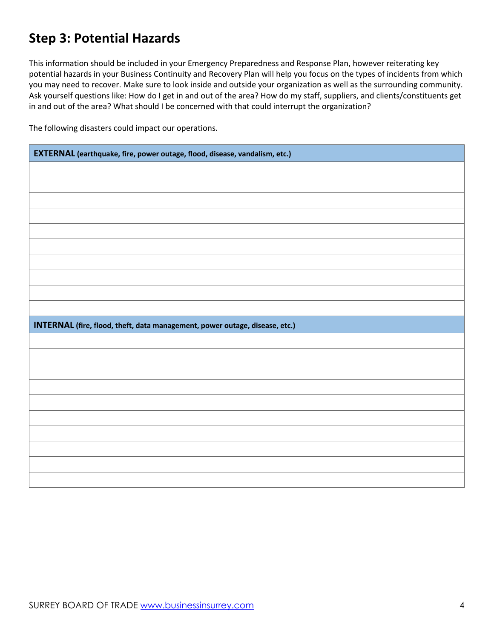#### **Step 3: Potential Hazards**

This information should be included in your Emergency Preparedness and Response Plan, however reiterating key potential hazards in your Business Continuity and Recovery Plan will help you focus on the types of incidents from which you may need to recover. Make sure to look inside and outside your organization as well as the surrounding community. Ask yourself questions like: How do I get in and out of the area? How do my staff, suppliers, and clients/constituents get in and out of the area? What should I be concerned with that could interrupt the organization?

The following disasters could impact our operations.

| EXTERNAL (earthquake, fire, power outage, flood, disease, vandalism, etc.)  |  |
|-----------------------------------------------------------------------------|--|
|                                                                             |  |
|                                                                             |  |
|                                                                             |  |
|                                                                             |  |
|                                                                             |  |
|                                                                             |  |
|                                                                             |  |
|                                                                             |  |
|                                                                             |  |
|                                                                             |  |
|                                                                             |  |
| INTERNAL (fire, flood, theft, data management, power outage, disease, etc.) |  |
|                                                                             |  |
|                                                                             |  |
|                                                                             |  |
|                                                                             |  |
|                                                                             |  |
|                                                                             |  |
|                                                                             |  |
|                                                                             |  |
|                                                                             |  |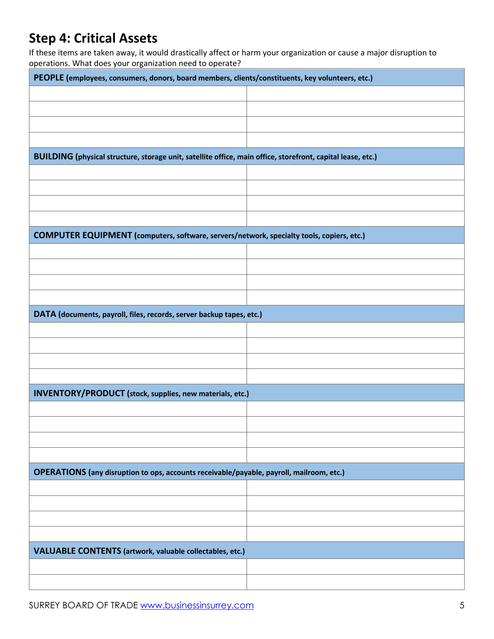#### **Step 4: Critical Assets**

If these items are taken away, it would drastically affect or harm your organization or cause a major disruption to operations. What does your organization need to operate?

| PEOPLE (employees, consumers, donors, board members, clients/constituents, key volunteers, etc.)            |  |
|-------------------------------------------------------------------------------------------------------------|--|
|                                                                                                             |  |
|                                                                                                             |  |
|                                                                                                             |  |
|                                                                                                             |  |
| BUILDING (physical structure, storage unit, satellite office, main office, storefront, capital lease, etc.) |  |
|                                                                                                             |  |
|                                                                                                             |  |
|                                                                                                             |  |
|                                                                                                             |  |
| COMPUTER EQUIPMENT (computers, software, servers/network, specialty tools, copiers, etc.)                   |  |
|                                                                                                             |  |
|                                                                                                             |  |
|                                                                                                             |  |
|                                                                                                             |  |
| DATA (documents, payroll, files, records, server backup tapes, etc.)                                        |  |
|                                                                                                             |  |
|                                                                                                             |  |
|                                                                                                             |  |
|                                                                                                             |  |
| <b>INVENTORY/PRODUCT</b> (stock, supplies, new materials, etc.)                                             |  |
|                                                                                                             |  |
|                                                                                                             |  |
|                                                                                                             |  |
|                                                                                                             |  |
| OPERATIONS (any disruption to ops, accounts receivable/payable, payroll, mailroom, etc.)                    |  |
|                                                                                                             |  |
|                                                                                                             |  |
|                                                                                                             |  |
|                                                                                                             |  |
| <b>VALUABLE CONTENTS (artwork, valuable collectables, etc.)</b>                                             |  |
|                                                                                                             |  |
|                                                                                                             |  |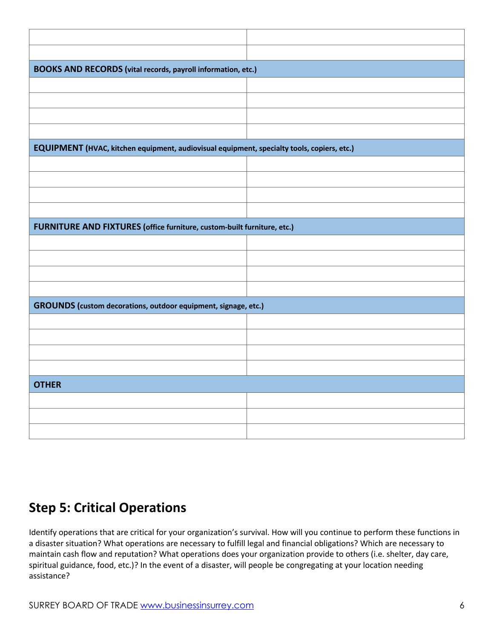| <b>BOOKS AND RECORDS</b> (vital records, payroll information, etc.)                        |  |  |
|--------------------------------------------------------------------------------------------|--|--|
|                                                                                            |  |  |
|                                                                                            |  |  |
|                                                                                            |  |  |
|                                                                                            |  |  |
| EQUIPMENT (HVAC, kitchen equipment, audiovisual equipment, specialty tools, copiers, etc.) |  |  |
|                                                                                            |  |  |
|                                                                                            |  |  |
|                                                                                            |  |  |
|                                                                                            |  |  |
|                                                                                            |  |  |
| FURNITURE AND FIXTURES (office furniture, custom-built furniture, etc.)                    |  |  |
|                                                                                            |  |  |
|                                                                                            |  |  |
|                                                                                            |  |  |
|                                                                                            |  |  |
| GROUNDS (custom decorations, outdoor equipment, signage, etc.)                             |  |  |
|                                                                                            |  |  |
|                                                                                            |  |  |
|                                                                                            |  |  |
|                                                                                            |  |  |
| <b>OTHER</b>                                                                               |  |  |
|                                                                                            |  |  |
|                                                                                            |  |  |
|                                                                                            |  |  |

#### **Step 5: Critical Operations**

Identify operations that are critical for your organization's survival. How will you continue to perform these functions in a disaster situation? What operations are necessary to fulfill legal and financial obligations? Which are necessary to maintain cash flow and reputation? What operations does your organization provide to others (i.e. shelter, day care, spiritual guidance, food, etc.)? In the event of a disaster, will people be congregating at your location needing assistance?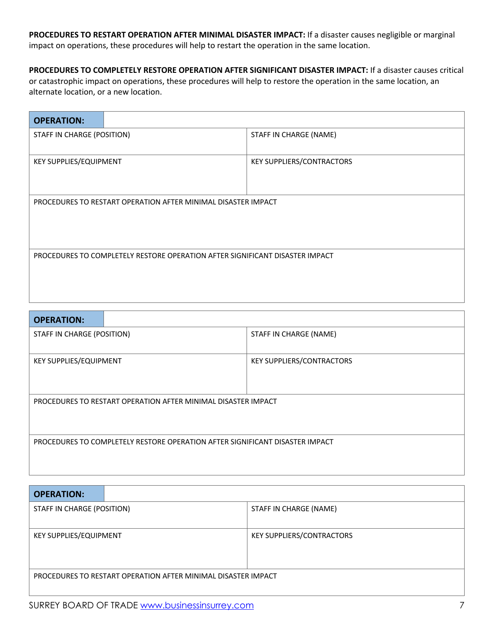**PROCEDURES TO RESTART OPERATION AFTER MINIMAL DISASTER IMPACT:** If a disaster causes negligible or marginal impact on operations, these procedures will help to restart the operation in the same location.

**PROCEDURES TO COMPLETELY RESTORE OPERATION AFTER SIGNIFICANT DISASTER IMPACT:** If a disaster causes critical or catastrophic impact on operations, these procedures will help to restore the operation in the same location, an alternate location, or a new location.

| <b>OPERATION:</b>                                                            |  |                           |
|------------------------------------------------------------------------------|--|---------------------------|
| STAFF IN CHARGE (POSITION)                                                   |  | STAFF IN CHARGE (NAME)    |
| KEY SUPPLIES/EQUIPMENT                                                       |  | KEY SUPPLIERS/CONTRACTORS |
|                                                                              |  |                           |
|                                                                              |  |                           |
| PROCEDURES TO RESTART OPERATION AFTER MINIMAL DISASTER IMPACT                |  |                           |
|                                                                              |  |                           |
|                                                                              |  |                           |
| PROCEDURES TO COMPLETELY RESTORE OPERATION AFTER SIGNIFICANT DISASTER IMPACT |  |                           |
|                                                                              |  |                           |
|                                                                              |  |                           |
|                                                                              |  |                           |

| <b>OPERATION:</b>                                                            |  |                           |
|------------------------------------------------------------------------------|--|---------------------------|
| STAFF IN CHARGE (POSITION)                                                   |  | STAFF IN CHARGE (NAME)    |
|                                                                              |  |                           |
| <b>KEY SUPPLIES/EQUIPMENT</b>                                                |  | KEY SUPPLIERS/CONTRACTORS |
|                                                                              |  |                           |
|                                                                              |  |                           |
| PROCEDURES TO RESTART OPERATION AFTER MINIMAL DISASTER IMPACT                |  |                           |
|                                                                              |  |                           |
|                                                                              |  |                           |
| PROCEDURES TO COMPLETELY RESTORE OPERATION AFTER SIGNIFICANT DISASTER IMPACT |  |                           |
|                                                                              |  |                           |
|                                                                              |  |                           |

| <b>OPERATION:</b>                                             |  |                           |
|---------------------------------------------------------------|--|---------------------------|
| STAFF IN CHARGE (POSITION)                                    |  | STAFF IN CHARGE (NAME)    |
|                                                               |  |                           |
| <b>KEY SUPPLIES/EQUIPMENT</b>                                 |  | KEY SUPPLIERS/CONTRACTORS |
|                                                               |  |                           |
|                                                               |  |                           |
| PROCEDURES TO RESTART OPERATION AFTER MINIMAL DISASTER IMPACT |  |                           |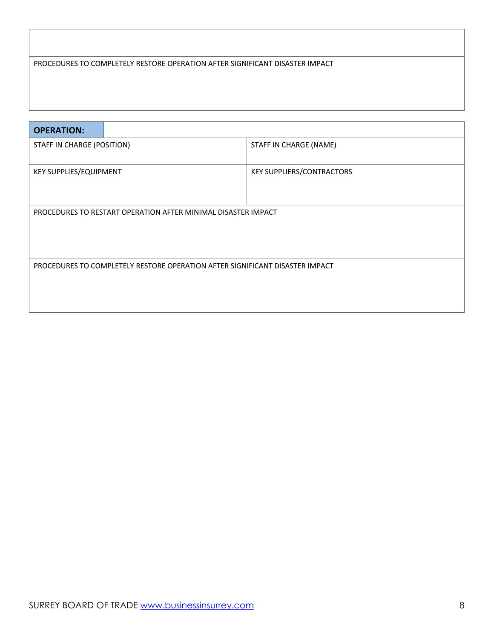#### PROCEDURES TO COMPLETELY RESTORE OPERATION AFTER SIGNIFICANT DISASTER IMPACT

| <b>OPERATION:</b>                                                            |  |                                  |
|------------------------------------------------------------------------------|--|----------------------------------|
| STAFF IN CHARGE (POSITION)                                                   |  | STAFF IN CHARGE (NAME)           |
| <b>KEY SUPPLIES/EQUIPMENT</b>                                                |  | <b>KEY SUPPLIERS/CONTRACTORS</b> |
| PROCEDURES TO RESTART OPERATION AFTER MINIMAL DISASTER IMPACT                |  |                                  |
| PROCEDURES TO COMPLETELY RESTORE OPERATION AFTER SIGNIFICANT DISASTER IMPACT |  |                                  |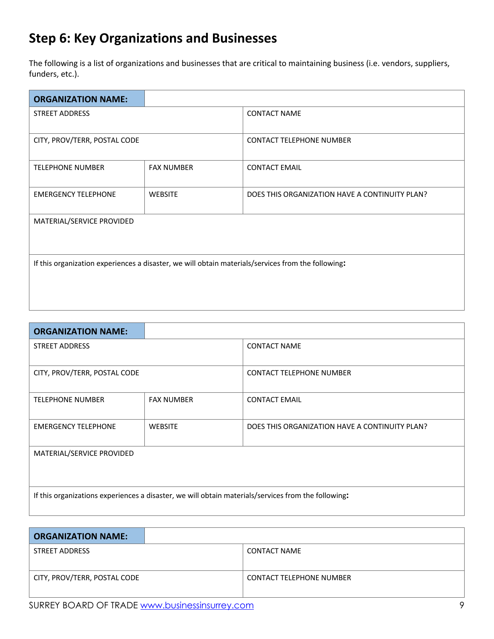#### **Step 6: Key Organizations and Businesses**

The following is a list of organizations and businesses that are critical to maintaining business (i.e. vendors, suppliers, funders, etc.).

| <b>ORGANIZATION NAME:</b>                                                                          |                   |                                                |
|----------------------------------------------------------------------------------------------------|-------------------|------------------------------------------------|
| <b>STREET ADDRESS</b>                                                                              |                   | <b>CONTACT NAME</b>                            |
|                                                                                                    |                   |                                                |
| CITY, PROV/TERR, POSTAL CODE                                                                       |                   | <b>CONTACT TELEPHONE NUMBER</b>                |
| <b>TELEPHONE NUMBER</b>                                                                            | <b>FAX NUMBER</b> | <b>CONTACT EMAIL</b>                           |
|                                                                                                    |                   |                                                |
| <b>EMERGENCY TELEPHONE</b>                                                                         | <b>WEBSITE</b>    | DOES THIS ORGANIZATION HAVE A CONTINUITY PLAN? |
|                                                                                                    |                   |                                                |
| MATERIAL/SERVICE PROVIDED                                                                          |                   |                                                |
|                                                                                                    |                   |                                                |
|                                                                                                    |                   |                                                |
| If this organization experiences a disaster, we will obtain materials/services from the following: |                   |                                                |
|                                                                                                    |                   |                                                |
|                                                                                                    |                   |                                                |
|                                                                                                    |                   |                                                |

| <b>ORGANIZATION NAME:</b>                                                                           |                   |                                                |
|-----------------------------------------------------------------------------------------------------|-------------------|------------------------------------------------|
| <b>STREET ADDRESS</b>                                                                               |                   | <b>CONTACT NAME</b>                            |
| CITY, PROV/TERR, POSTAL CODE                                                                        |                   | <b>CONTACT TELEPHONE NUMBER</b>                |
| <b>TELEPHONE NUMBER</b>                                                                             | <b>FAX NUMBER</b> | <b>CONTACT EMAIL</b>                           |
| <b>EMERGENCY TELEPHONE</b>                                                                          | <b>WEBSITE</b>    | DOES THIS ORGANIZATION HAVE A CONTINUITY PLAN? |
| MATERIAL/SERVICE PROVIDED                                                                           |                   |                                                |
|                                                                                                     |                   |                                                |
| If this organizations experiences a disaster, we will obtain materials/services from the following: |                   |                                                |

| <b>ORGANIZATION NAME:</b>    |                                 |
|------------------------------|---------------------------------|
| STREET ADDRESS               | CONTACT NAME                    |
|                              |                                 |
| CITY, PROV/TERR, POSTAL CODE | <b>CONTACT TELEPHONE NUMBER</b> |
|                              |                                 |

SURREY BOARD OF TRADE www.businessinsurrey.com **9** and the state of the state of the state of the state of the state of the state of the state of the state of the state of the state of the state of the state of the state o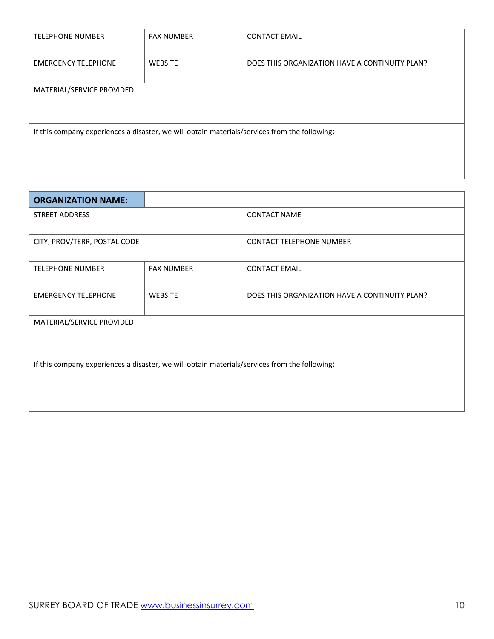| <b>TELEPHONE NUMBER</b>                                                                       | <b>FAX NUMBER</b> | <b>CONTACT EMAIL</b>                           |  |  |  |
|-----------------------------------------------------------------------------------------------|-------------------|------------------------------------------------|--|--|--|
| <b>EMERGENCY TELEPHONE</b>                                                                    | <b>WEBSITE</b>    | DOES THIS ORGANIZATION HAVE A CONTINUITY PLAN? |  |  |  |
| MATERIAL/SERVICE PROVIDED                                                                     |                   |                                                |  |  |  |
| If this company experiences a disaster, we will obtain materials/services from the following: |                   |                                                |  |  |  |
|                                                                                               |                   |                                                |  |  |  |

| <b>ORGANIZATION NAME:</b>                                                                     |                   |                                                |
|-----------------------------------------------------------------------------------------------|-------------------|------------------------------------------------|
| <b>STREET ADDRESS</b>                                                                         |                   | <b>CONTACT NAME</b>                            |
|                                                                                               |                   |                                                |
| CITY, PROV/TERR, POSTAL CODE                                                                  |                   | <b>CONTACT TELEPHONE NUMBER</b>                |
| <b>TELEPHONE NUMBER</b>                                                                       | <b>FAX NUMBER</b> | <b>CONTACT EMAIL</b>                           |
| <b>EMERGENCY TELEPHONE</b>                                                                    | <b>WEBSITE</b>    | DOES THIS ORGANIZATION HAVE A CONTINUITY PLAN? |
| MATERIAL/SERVICE PROVIDED                                                                     |                   |                                                |
| If this company experiences a disaster, we will obtain materials/services from the following: |                   |                                                |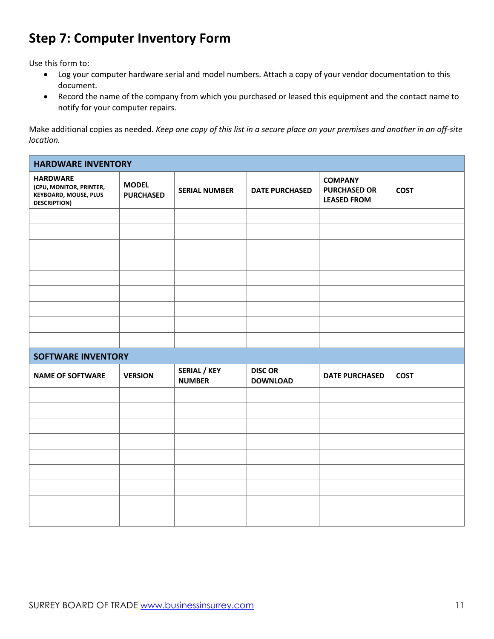#### **Step 7: Computer Inventory Form**

Use this form to:

- Log your computer hardware serial and model numbers. Attach a copy of your vendor documentation to this document.
- Record the name of the company from which you purchased or leased this equipment and the contact name to notify for your computer repairs.

Make additional copies as needed. *Keep one copy of this list in a secure place on your premises and another in an off-site location.*

| <b>HARDWARE INVENTORY</b>                                                                         |                                  |                                      |                                   |                                                             |             |
|---------------------------------------------------------------------------------------------------|----------------------------------|--------------------------------------|-----------------------------------|-------------------------------------------------------------|-------------|
| <b>HARDWARE</b><br>(CPU, MONITOR, PRINTER,<br><b>KEYBOARD, MOUSE, PLUS</b><br><b>DESCRIPTION)</b> | <b>MODEL</b><br><b>PURCHASED</b> | <b>SERIAL NUMBER</b>                 | <b>DATE PURCHASED</b>             | <b>COMPANY</b><br><b>PURCHASED OR</b><br><b>LEASED FROM</b> | <b>COST</b> |
|                                                                                                   |                                  |                                      |                                   |                                                             |             |
|                                                                                                   |                                  |                                      |                                   |                                                             |             |
|                                                                                                   |                                  |                                      |                                   |                                                             |             |
|                                                                                                   |                                  |                                      |                                   |                                                             |             |
|                                                                                                   |                                  |                                      |                                   |                                                             |             |
|                                                                                                   |                                  |                                      |                                   |                                                             |             |
|                                                                                                   |                                  |                                      |                                   |                                                             |             |
|                                                                                                   |                                  |                                      |                                   |                                                             |             |
|                                                                                                   |                                  |                                      |                                   |                                                             |             |
| <b>SOFTWARE INVENTORY</b>                                                                         |                                  |                                      |                                   |                                                             |             |
| <b>NAME OF SOFTWARE</b>                                                                           | <b>VERSION</b>                   | <b>SERIAL / KEY</b><br><b>NUMBER</b> | <b>DISC OR</b><br><b>DOWNLOAD</b> | <b>DATE PURCHASED</b>                                       | <b>COST</b> |
|                                                                                                   |                                  |                                      |                                   |                                                             |             |
|                                                                                                   |                                  |                                      |                                   |                                                             |             |
|                                                                                                   |                                  |                                      |                                   |                                                             |             |
|                                                                                                   |                                  |                                      |                                   |                                                             |             |
|                                                                                                   |                                  |                                      |                                   |                                                             |             |
|                                                                                                   |                                  |                                      |                                   |                                                             |             |
|                                                                                                   |                                  |                                      |                                   |                                                             |             |
|                                                                                                   |                                  |                                      |                                   |                                                             |             |
|                                                                                                   |                                  |                                      |                                   |                                                             |             |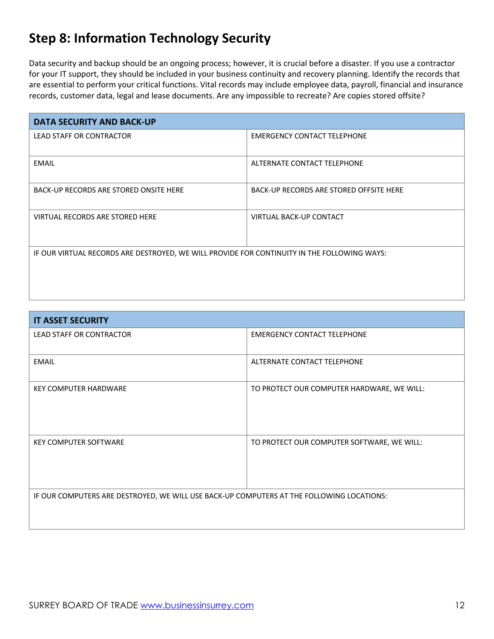### **Step 8: Information Technology Security**

Data security and backup should be an ongoing process; however, it is crucial before a disaster. If you use a contractor for your IT support, they should be included in your business continuity and recovery planning. Identify the records that are essential to perform your critical functions. Vital records may include employee data, payroll, financial and insurance records, customer data, legal and lease documents. Are any impossible to recreate? Are copies stored offsite?

| <b>DATA SECURITY AND BACK-UP</b>                                                            |                                         |  |  |
|---------------------------------------------------------------------------------------------|-----------------------------------------|--|--|
| <b>LEAD STAFF OR CONTRACTOR</b>                                                             | <b>EMERGENCY CONTACT TELEPHONE</b>      |  |  |
|                                                                                             |                                         |  |  |
| <b>EMAIL</b>                                                                                | ALTERNATE CONTACT TELEPHONE             |  |  |
| BACK-UP RECORDS ARE STORED ONSITE HERE                                                      | BACK-UP RECORDS ARE STORED OFFSITE HERE |  |  |
| VIRTUAL RECORDS ARE STORED HERE                                                             | VIRTUAL BACK-UP CONTACT                 |  |  |
| IF OUR VIRTUAL RECORDS ARE DESTROYED, WE WILL PROVIDE FOR CONTINUITY IN THE FOLLOWING WAYS: |                                         |  |  |

| <b>IT ASSET SECURITY</b>                                                                  |                                            |
|-------------------------------------------------------------------------------------------|--------------------------------------------|
| LEAD STAFF OR CONTRACTOR                                                                  | <b>EMERGENCY CONTACT TELEPHONE</b>         |
|                                                                                           |                                            |
| <b>EMAIL</b>                                                                              | ALTERNATE CONTACT TELEPHONE                |
| <b>KEY COMPUTER HARDWARE</b>                                                              | TO PROTECT OUR COMPUTER HARDWARE, WE WILL: |
| <b>KEY COMPUTER SOFTWARE</b>                                                              | TO PROTECT OUR COMPUTER SOFTWARE, WE WILL: |
| IF OUR COMPUTERS ARE DESTROYED, WE WILL USE BACK-UP COMPUTERS AT THE FOLLOWING LOCATIONS: |                                            |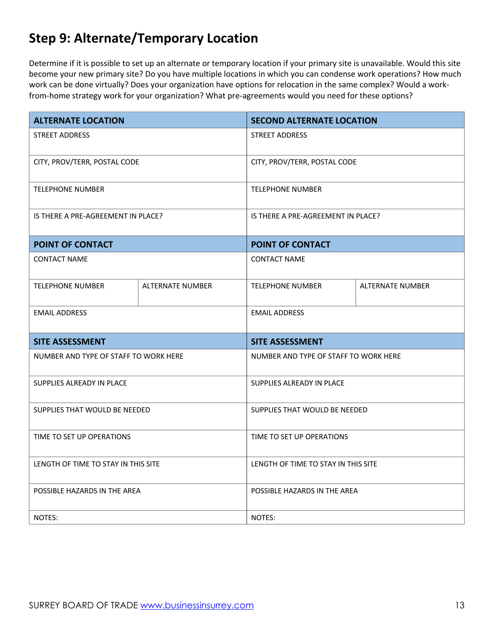### **Step 9: Alternate/Temporary Location**

Determine if it is possible to set up an alternate or temporary location if your primary site is unavailable. Would this site become your new primary site? Do you have multiple locations in which you can condense work operations? How much work can be done virtually? Does your organization have options for relocation in the same complex? Would a workfrom-home strategy work for your organization? What pre-agreements would you need for these options?

| <b>ALTERNATE LOCATION</b>             |                         | <b>SECOND ALTERNATE LOCATION</b>    |                                       |  |
|---------------------------------------|-------------------------|-------------------------------------|---------------------------------------|--|
| <b>STREET ADDRESS</b>                 |                         | <b>STREET ADDRESS</b>               |                                       |  |
| CITY, PROV/TERR, POSTAL CODE          |                         |                                     | CITY, PROV/TERR, POSTAL CODE          |  |
| <b>TELEPHONE NUMBER</b>               |                         | <b>TELEPHONE NUMBER</b>             |                                       |  |
| IS THERE A PRE-AGREEMENT IN PLACE?    |                         |                                     | IS THERE A PRE-AGREEMENT IN PLACE?    |  |
| POINT OF CONTACT                      |                         | POINT OF CONTACT                    |                                       |  |
| <b>CONTACT NAME</b>                   |                         |                                     |                                       |  |
| <b>TELEPHONE NUMBER</b>               | <b>ALTERNATE NUMBER</b> | <b>TELEPHONE NUMBER</b>             | <b>ALTERNATE NUMBER</b>               |  |
| <b>EMAIL ADDRESS</b>                  |                         | <b>EMAIL ADDRESS</b>                |                                       |  |
| <b>SITE ASSESSMENT</b>                |                         | <b>SITE ASSESSMENT</b>              |                                       |  |
| NUMBER AND TYPE OF STAFF TO WORK HERE |                         |                                     | NUMBER AND TYPE OF STAFF TO WORK HERE |  |
| SUPPLIES ALREADY IN PLACE             |                         | SUPPLIES ALREADY IN PLACE           |                                       |  |
| SUPPLIES THAT WOULD BE NEEDED         |                         | SUPPLIES THAT WOULD BE NEEDED       |                                       |  |
| TIME TO SET UP OPERATIONS             |                         | TIME TO SET UP OPERATIONS           |                                       |  |
| LENGTH OF TIME TO STAY IN THIS SITE   |                         | LENGTH OF TIME TO STAY IN THIS SITE |                                       |  |
| POSSIBLE HAZARDS IN THE AREA          |                         | POSSIBLE HAZARDS IN THE AREA        |                                       |  |
| NOTES:                                |                         | NOTES:                              |                                       |  |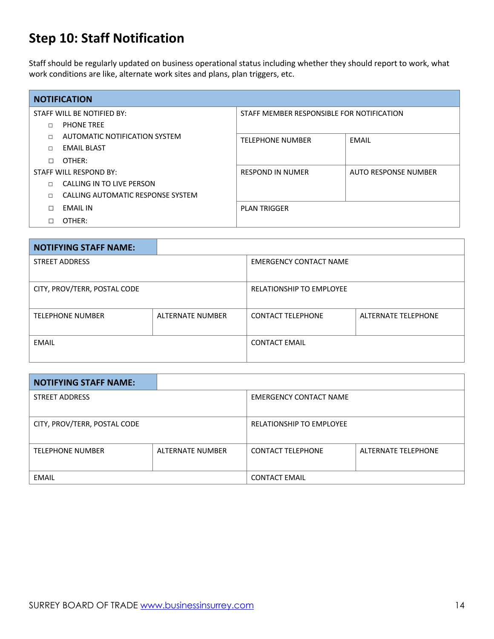### **Step 10: Staff Notification**

Staff should be regularly updated on business operational status including whether they should report to work, what work conditions are like, alternate work sites and plans, plan triggers, etc.

| <b>NOTIFICATION</b>        |                                   |                                           |                             |  |
|----------------------------|-----------------------------------|-------------------------------------------|-----------------------------|--|
| STAFF WILL BE NOTIFIED BY: |                                   | STAFF MEMBER RESPONSIBLE FOR NOTIFICATION |                             |  |
| П                          | <b>PHONE TREE</b>                 |                                           |                             |  |
| $\Box$                     | AUTOMATIC NOTIFICATION SYSTEM     | <b>TELEPHONE NUMBER</b>                   | EMAIL                       |  |
| $\Box$                     | EMAIL BLAST                       |                                           |                             |  |
| П                          | OTHER:                            |                                           |                             |  |
| STAFF WILL RESPOND BY:     |                                   | <b>RESPOND IN NUMER</b>                   | <b>AUTO RESPONSE NUMBER</b> |  |
| $\Box$                     | CALLING IN TO LIVE PERSON         |                                           |                             |  |
| п                          | CALLING AUTOMATIC RESPONSE SYSTEM |                                           |                             |  |
| П                          | <b>EMAIL IN</b>                   | <b>PLAN TRIGGER</b>                       |                             |  |
| $\Box$                     | OTHER:                            |                                           |                             |  |

| <b>NOTIFYING STAFF NAME:</b> |                         |                               |                     |
|------------------------------|-------------------------|-------------------------------|---------------------|
| <b>STREET ADDRESS</b>        |                         | <b>EMERGENCY CONTACT NAME</b> |                     |
| CITY, PROV/TERR, POSTAL CODE |                         | RELATIONSHIP TO EMPLOYEE      |                     |
| <b>TELEPHONE NUMBER</b>      | <b>ALTERNATE NUMBER</b> | <b>CONTACT TELEPHONE</b>      | ALTERNATE TELEPHONE |
| <b>EMAIL</b>                 |                         | <b>CONTACT EMAIL</b>          |                     |

| <b>NOTIFYING STAFF NAME:</b> |                  |                                 |                     |
|------------------------------|------------------|---------------------------------|---------------------|
| <b>STREET ADDRESS</b>        |                  | <b>EMERGENCY CONTACT NAME</b>   |                     |
| CITY, PROV/TERR, POSTAL CODE |                  | <b>RELATIONSHIP TO EMPLOYEE</b> |                     |
| <b>TELEPHONE NUMBER</b>      | ALTERNATE NUMBER | <b>CONTACT TELEPHONE</b>        | ALTERNATE TELEPHONE |
| <b>EMAIL</b>                 |                  | <b>CONTACT EMAIL</b>            |                     |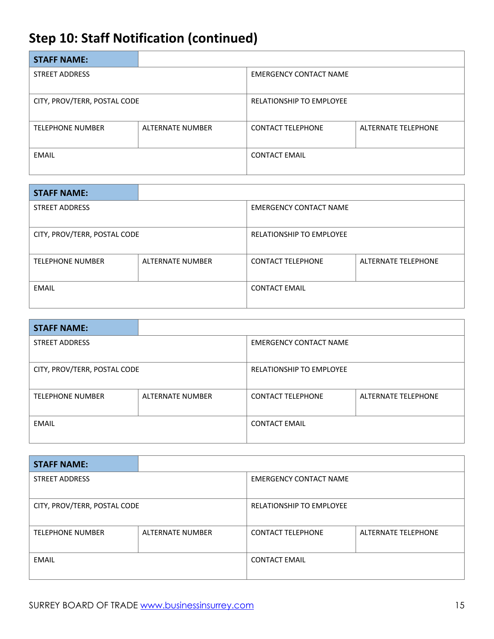## **Step 10: Staff Notification (continued)**

| <b>STAFF NAME:</b>           |                         |                                 |                     |
|------------------------------|-------------------------|---------------------------------|---------------------|
| <b>STREET ADDRESS</b>        |                         | <b>EMERGENCY CONTACT NAME</b>   |                     |
| CITY, PROV/TERR, POSTAL CODE |                         | <b>RELATIONSHIP TO EMPLOYEE</b> |                     |
| <b>TELEPHONE NUMBER</b>      | <b>ALTERNATE NUMBER</b> | <b>CONTACT TELEPHONE</b>        | ALTERNATE TELEPHONE |
| <b>EMAIL</b>                 |                         | <b>CONTACT EMAIL</b>            |                     |

| <b>STAFF NAME:</b>           |                         |                                 |                     |
|------------------------------|-------------------------|---------------------------------|---------------------|
| <b>STREET ADDRESS</b>        |                         | <b>EMERGENCY CONTACT NAME</b>   |                     |
| CITY, PROV/TERR, POSTAL CODE |                         | <b>RELATIONSHIP TO EMPLOYEE</b> |                     |
| <b>TELEPHONE NUMBER</b>      | <b>ALTERNATE NUMBER</b> | <b>CONTACT TELEPHONE</b>        | ALTERNATE TELEPHONE |
| <b>EMAIL</b>                 |                         | <b>CONTACT EMAIL</b>            |                     |

| <b>STAFF NAME:</b>           |                  |                                 |                     |
|------------------------------|------------------|---------------------------------|---------------------|
| <b>STREET ADDRESS</b>        |                  | <b>EMERGENCY CONTACT NAME</b>   |                     |
| CITY, PROV/TERR, POSTAL CODE |                  | <b>RELATIONSHIP TO EMPLOYEE</b> |                     |
| <b>TELEPHONE NUMBER</b>      | ALTERNATE NUMBER | <b>CONTACT TELEPHONE</b>        | ALTERNATE TELEPHONE |
| <b>EMAIL</b>                 |                  | <b>CONTACT EMAIL</b>            |                     |

| <b>STAFF NAME:</b>           |                  |                                 |                     |
|------------------------------|------------------|---------------------------------|---------------------|
| <b>STREET ADDRESS</b>        |                  | <b>EMERGENCY CONTACT NAME</b>   |                     |
|                              |                  |                                 |                     |
| CITY, PROV/TERR, POSTAL CODE |                  | <b>RELATIONSHIP TO EMPLOYEE</b> |                     |
|                              |                  |                                 |                     |
| <b>TELEPHONE NUMBER</b>      | ALTERNATE NUMBER | <b>CONTACT TELEPHONE</b>        | ALTERNATE TELEPHONE |
|                              |                  |                                 |                     |
| EMAIL                        |                  | <b>CONTACT EMAIL</b>            |                     |
|                              |                  |                                 |                     |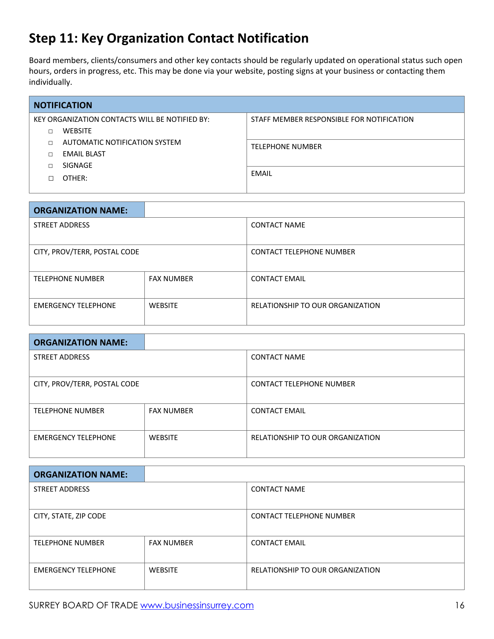#### **Step 11: Key Organization Contact Notification**

Board members, clients/consumers and other key contacts should be regularly updated on operational status such open hours, orders in progress, etc. This may be done via your website, posting signs at your business or contacting them individually.

| <b>NOTIFICATION</b>                            |                               |                                           |  |
|------------------------------------------------|-------------------------------|-------------------------------------------|--|
| KEY ORGANIZATION CONTACTS WILL BE NOTIFIED BY: |                               | STAFF MEMBER RESPONSIBLE FOR NOTIFICATION |  |
| П                                              | <b>WEBSITE</b>                |                                           |  |
| П                                              | AUTOMATIC NOTIFICATION SYSTEM | <b>TELEPHONE NUMBER</b>                   |  |
| П                                              | <b>EMAIL BLAST</b>            |                                           |  |
| П                                              | SIGNAGE                       |                                           |  |
| П                                              | OTHER:                        | <b>EMAIL</b>                              |  |
|                                                |                               |                                           |  |

| <b>ORGANIZATION NAME:</b>    |                   |                                  |
|------------------------------|-------------------|----------------------------------|
| <b>STREET ADDRESS</b>        |                   | <b>CONTACT NAME</b>              |
|                              |                   |                                  |
| CITY, PROV/TERR, POSTAL CODE |                   | <b>CONTACT TELEPHONE NUMBER</b>  |
| <b>TELEPHONE NUMBER</b>      | <b>FAX NUMBER</b> | <b>CONTACT EMAIL</b>             |
| <b>EMERGENCY TELEPHONE</b>   | <b>WEBSITE</b>    | RELATIONSHIP TO OUR ORGANIZATION |

| <b>ORGANIZATION NAME:</b>    |                   |                                  |
|------------------------------|-------------------|----------------------------------|
| <b>STREET ADDRESS</b>        |                   | <b>CONTACT NAME</b>              |
|                              |                   |                                  |
| CITY, PROV/TERR, POSTAL CODE |                   | <b>CONTACT TELEPHONE NUMBER</b>  |
| <b>TELEPHONE NUMBER</b>      | <b>FAX NUMBER</b> | <b>CONTACT EMAIL</b>             |
| <b>EMERGENCY TELEPHONE</b>   | <b>WEBSITE</b>    | RELATIONSHIP TO OUR ORGANIZATION |

| <b>ORGANIZATION NAME:</b>  |                   |                                  |
|----------------------------|-------------------|----------------------------------|
| <b>STREET ADDRESS</b>      |                   | <b>CONTACT NAME</b>              |
|                            |                   |                                  |
| CITY, STATE, ZIP CODE      |                   | <b>CONTACT TELEPHONE NUMBER</b>  |
| <b>TELEPHONE NUMBER</b>    | <b>FAX NUMBER</b> | <b>CONTACT EMAIL</b>             |
| <b>EMERGENCY TELEPHONE</b> | <b>WEBSITE</b>    | RELATIONSHIP TO OUR ORGANIZATION |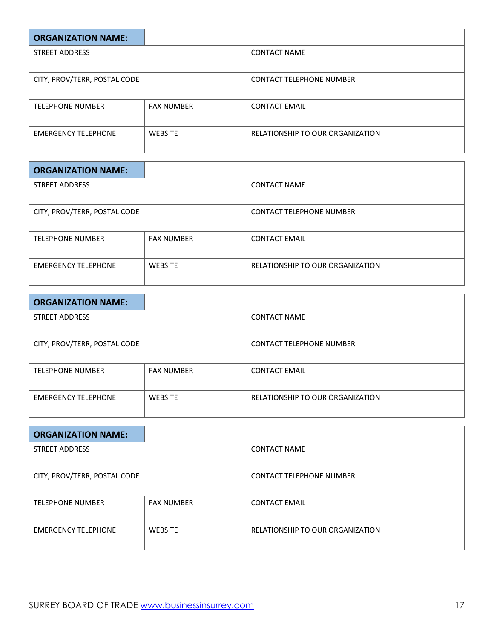| <b>ORGANIZATION NAME:</b>    |                   |                                  |
|------------------------------|-------------------|----------------------------------|
| <b>STREET ADDRESS</b>        |                   | <b>CONTACT NAME</b>              |
|                              |                   |                                  |
| CITY, PROV/TERR, POSTAL CODE |                   | <b>CONTACT TELEPHONE NUMBER</b>  |
| <b>TELEPHONE NUMBER</b>      | <b>FAX NUMBER</b> | <b>CONTACT EMAIL</b>             |
| <b>EMERGENCY TELEPHONE</b>   | <b>WEBSITE</b>    | RELATIONSHIP TO OUR ORGANIZATION |

| <b>ORGANIZATION NAME:</b>    |                   |                                  |
|------------------------------|-------------------|----------------------------------|
| <b>STREET ADDRESS</b>        |                   | <b>CONTACT NAME</b>              |
|                              |                   |                                  |
| CITY, PROV/TERR, POSTAL CODE |                   | <b>CONTACT TELEPHONE NUMBER</b>  |
|                              |                   |                                  |
| <b>TELEPHONE NUMBER</b>      | <b>FAX NUMBER</b> | <b>CONTACT EMAIL</b>             |
|                              |                   |                                  |
| <b>EMERGENCY TELEPHONE</b>   | <b>WEBSITE</b>    | RELATIONSHIP TO OUR ORGANIZATION |
|                              |                   |                                  |

| <b>ORGANIZATION NAME:</b>    |                   |                                  |
|------------------------------|-------------------|----------------------------------|
| <b>STREET ADDRESS</b>        |                   | <b>CONTACT NAME</b>              |
|                              |                   |                                  |
| CITY, PROV/TERR, POSTAL CODE |                   | <b>CONTACT TELEPHONE NUMBER</b>  |
| <b>TELEPHONE NUMBER</b>      | <b>FAX NUMBER</b> | <b>CONTACT EMAIL</b>             |
| <b>EMERGENCY TELEPHONE</b>   | <b>WEBSITE</b>    | RELATIONSHIP TO OUR ORGANIZATION |

| <b>ORGANIZATION NAME:</b>    |                   |                                  |
|------------------------------|-------------------|----------------------------------|
| <b>STREET ADDRESS</b>        |                   | <b>CONTACT NAME</b>              |
|                              |                   |                                  |
| CITY, PROV/TERR, POSTAL CODE |                   | <b>CONTACT TELEPHONE NUMBER</b>  |
| <b>TELEPHONE NUMBER</b>      | <b>FAX NUMBER</b> | <b>CONTACT EMAIL</b>             |
| <b>EMERGENCY TELEPHONE</b>   | <b>WEBSITE</b>    | RELATIONSHIP TO OUR ORGANIZATION |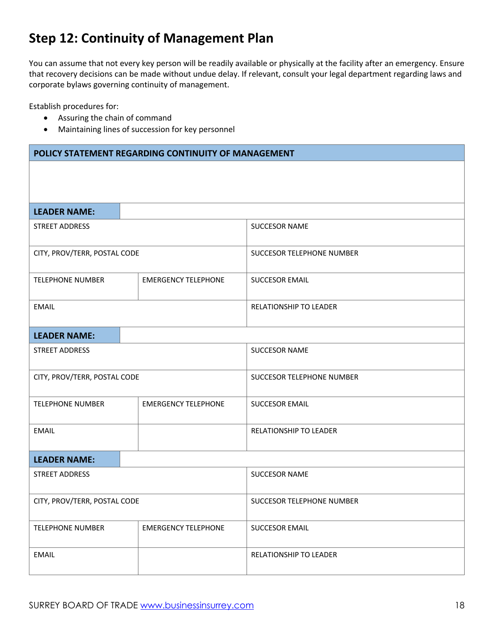### **Step 12: Continuity of Management Plan**

You can assume that not every key person will be readily available or physically at the facility after an emergency. Ensure that recovery decisions can be made without undue delay. If relevant, consult your legal department regarding laws and corporate bylaws governing continuity of management.

Establish procedures for:

- Assuring the chain of command
- Maintaining lines of succession for key personnel

| POLICY STATEMENT REGARDING CONTINUITY OF MANAGEMENT |                            |                           |
|-----------------------------------------------------|----------------------------|---------------------------|
|                                                     |                            |                           |
|                                                     |                            |                           |
| <b>LEADER NAME:</b>                                 |                            |                           |
| STREET ADDRESS                                      |                            | SUCCESOR NAME             |
| CITY, PROV/TERR, POSTAL CODE                        |                            | SUCCESOR TELEPHONE NUMBER |
| <b>TELEPHONE NUMBER</b>                             | <b>EMERGENCY TELEPHONE</b> | <b>SUCCESOR EMAIL</b>     |
| <b>EMAIL</b>                                        |                            | RELATIONSHIP TO LEADER    |
| <b>LEADER NAME:</b>                                 |                            |                           |
| STREET ADDRESS                                      |                            | <b>SUCCESOR NAME</b>      |
| CITY, PROV/TERR, POSTAL CODE                        |                            | SUCCESOR TELEPHONE NUMBER |
| <b>TELEPHONE NUMBER</b>                             | <b>EMERGENCY TELEPHONE</b> | <b>SUCCESOR EMAIL</b>     |
| <b>EMAIL</b>                                        |                            | RELATIONSHIP TO LEADER    |
| <b>LEADER NAME:</b>                                 |                            |                           |
| STREET ADDRESS                                      |                            | <b>SUCCESOR NAME</b>      |
| CITY, PROV/TERR, POSTAL CODE                        |                            | SUCCESOR TELEPHONE NUMBER |
| <b>TELEPHONE NUMBER</b>                             | <b>EMERGENCY TELEPHONE</b> | <b>SUCCESOR EMAIL</b>     |
| <b>EMAIL</b>                                        |                            | RELATIONSHIP TO LEADER    |